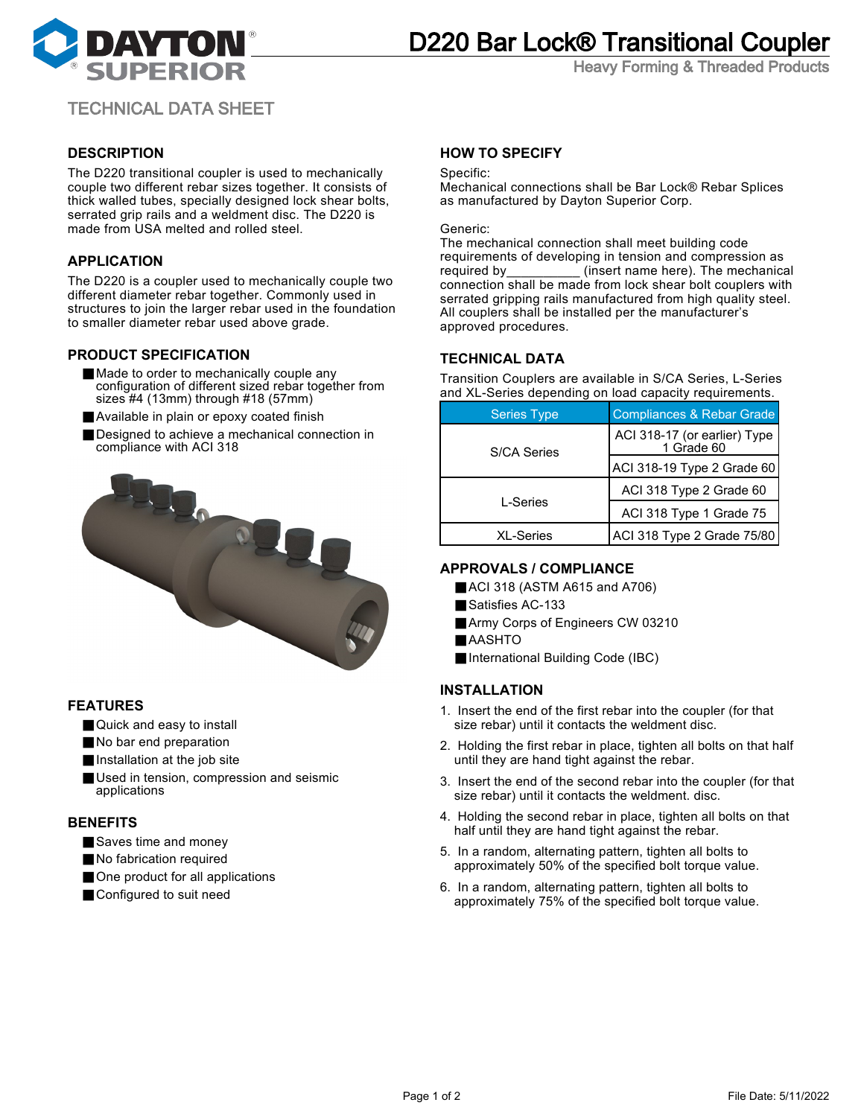

# D220 Bar Lock® Transitional Coupler

Heavy Forming & Threaded Products

## TECHNICAL DATA SHEET

## **DESCRIPTION**

The D220 transitional coupler is used to mechanically couple two different rebar sizes together. It consists of thick walled tubes, specially designed lock shear bolts, serrated grip rails and a weldment disc. The D220 is made from USA melted and rolled steel.

## **APPLICATION**

The D220 is a coupler used to mechanically couple two different diameter rebar together. Commonly used in structures to join the larger rebar used in the foundation to smaller diameter rebar used above grade.

#### **PRODUCT SPECIFICATION**

- Made to order to mechanically couple any configuration of different sized rebar together from sizes #4 (13mm) through #18 (57mm)
- Available in plain or epoxy coated finish
- Designed to achieve a mechanical connection in compliance with ACI 318



### **FEATURES**

- Quick and easy to install
- No bar end preparation
- Installation at the job site
- Used in tension, compression and seismic applications

### **BENEFITS**

- Saves time and money
- No fabrication required
- One product for all applications
- Configured to suit need

## **HOW TO SPECIFY**

#### Specific:

Mechanical connections shall be Bar Lock® Rebar Splices as manufactured by Dayton Superior Corp.

#### Generic:

The mechanical connection shall meet building code requirements of developing in tension and compression as required by **Exert name here**). The mechanical connection shall be made from lock shear bolt couplers with serrated gripping rails manufactured from high quality steel. All couplers shall be installed per the manufacturer's approved procedures.

## **TECHNICAL DATA**

Transition Couplers are available in S/CA Series, L-Series and XL-Series depending on load capacity requirements.

| <b>Series Type</b> | Compliances & Rebar Grade                    |
|--------------------|----------------------------------------------|
| S/CA Series        | ACI 318-17 (or earlier) Type  <br>1 Grade 60 |
|                    | $ AC$ l 318-19 Type 2 Grade 60               |
| L-Series           | ACI 318 Type 2 Grade 60                      |
|                    | ACI 318 Type 1 Grade 75                      |
| <b>XL-Series</b>   | ACI 318 Type 2 Grade 75/80                   |

### **APPROVALS / COMPLIANCE**

- ACI 318 (ASTM A615 and A706)
- Satisfies AC-133
- Army Corps of Engineers CW 03210
- AASHTO
- International Building Code (IBC)

## **INSTALLATION**

- 1. Insert the end of the first rebar into the coupler (for that size rebar) until it contacts the weldment disc.
- 2. Holding the first rebar in place, tighten all bolts on that half until they are hand tight against the rebar.
- 3. Insert the end of the second rebar into the coupler (for that size rebar) until it contacts the weldment. disc.
- 4. Holding the second rebar in place, tighten all bolts on that half until they are hand tight against the rebar.
- 5. In a random, alternating pattern, tighten all bolts to approximately 50% of the specified bolt torque value.
- 6. In a random, alternating pattern, tighten all bolts to approximately 75% of the specified bolt torque value.